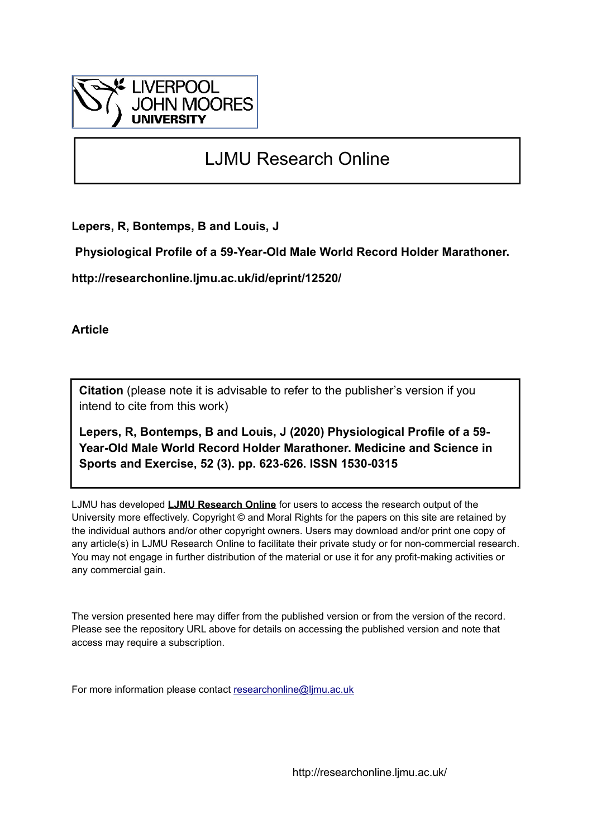

# LJMU Research Online

**Lepers, R, Bontemps, B and Louis, J**

 **Physiological Profile of a 59-Year-Old Male World Record Holder Marathoner.**

**http://researchonline.ljmu.ac.uk/id/eprint/12520/**

**Article**

**Citation** (please note it is advisable to refer to the publisher's version if you intend to cite from this work)

**Lepers, R, Bontemps, B and Louis, J (2020) Physiological Profile of a 59- Year-Old Male World Record Holder Marathoner. Medicine and Science in Sports and Exercise, 52 (3). pp. 623-626. ISSN 1530-0315** 

LJMU has developed **[LJMU Research Online](http://researchonline.ljmu.ac.uk/)** for users to access the research output of the University more effectively. Copyright © and Moral Rights for the papers on this site are retained by the individual authors and/or other copyright owners. Users may download and/or print one copy of any article(s) in LJMU Research Online to facilitate their private study or for non-commercial research. You may not engage in further distribution of the material or use it for any profit-making activities or any commercial gain.

The version presented here may differ from the published version or from the version of the record. Please see the repository URL above for details on accessing the published version and note that access may require a subscription.

For more information please contact [researchonline@ljmu.ac.uk](mailto:researchonline@ljmu.ac.uk)

http://researchonline.ljmu.ac.uk/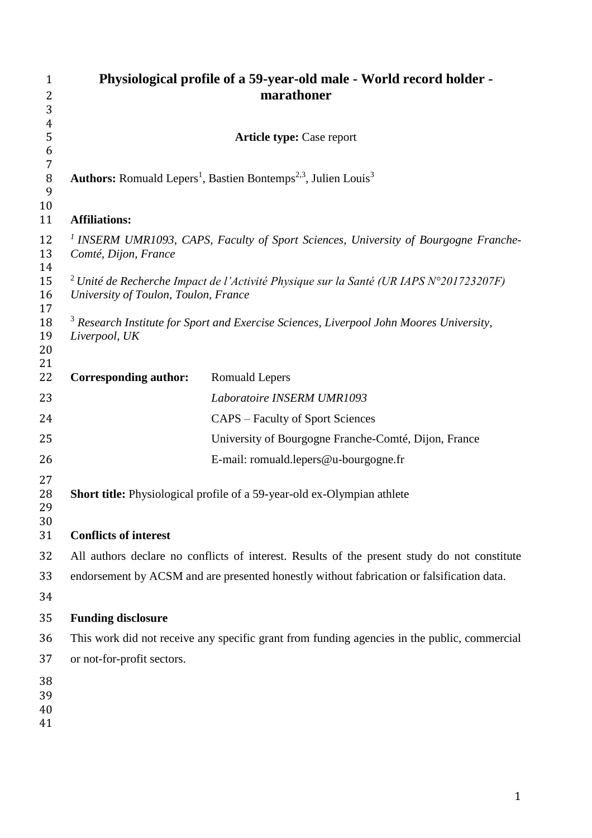| $\mathbf{1}$         | Physiological profile of a 59-year-old male - World record holder -                                                                                 |                                                                                                           |  |
|----------------------|-----------------------------------------------------------------------------------------------------------------------------------------------------|-----------------------------------------------------------------------------------------------------------|--|
| 2                    |                                                                                                                                                     | marathoner                                                                                                |  |
| 3                    |                                                                                                                                                     |                                                                                                           |  |
| 4<br>5               |                                                                                                                                                     |                                                                                                           |  |
| 6                    |                                                                                                                                                     | <b>Article type: Case report</b>                                                                          |  |
| $\overline{7}$       |                                                                                                                                                     |                                                                                                           |  |
| $\, 8$<br>9          |                                                                                                                                                     | <b>Authors:</b> Romuald Lepers <sup>1</sup> , Bastien Bontemps <sup>2,3</sup> , Julien Louis <sup>3</sup> |  |
| 10<br>11             | <b>Affiliations:</b>                                                                                                                                |                                                                                                           |  |
| 12<br>13<br>14       | <sup>1</sup> INSERM UMR1093, CAPS, Faculty of Sport Sciences, University of Bourgogne Franche-<br>Comté, Dijon, France                              |                                                                                                           |  |
| 15<br>16<br>17       | <sup>2</sup> Unité de Recherche Impact de l'Activité Physique sur la Santé (UR IAPS $N^{\circ}201723207F$ )<br>University of Toulon, Toulon, France |                                                                                                           |  |
| 18<br>19<br>20<br>21 | <sup>3</sup> Research Institute for Sport and Exercise Sciences, Liverpool John Moores University,<br>Liverpool, UK                                 |                                                                                                           |  |
| 22                   | <b>Corresponding author:</b>                                                                                                                        | <b>Romuald Lepers</b>                                                                                     |  |
| 23                   |                                                                                                                                                     | Laboratoire INSERM UMR1093                                                                                |  |
| 24                   |                                                                                                                                                     | <b>CAPS</b> – Faculty of Sport Sciences                                                                   |  |
| 25                   |                                                                                                                                                     | University of Bourgogne Franche-Comté, Dijon, France                                                      |  |
| 26                   |                                                                                                                                                     | E-mail: romuald.lepers@u-bourgogne.fr                                                                     |  |
| 27<br>28<br>29<br>30 | <b>Short title:</b> Physiological profile of a 59-year-old ex-Olympian athlete                                                                      |                                                                                                           |  |
| 31                   | <b>Conflicts of interest</b>                                                                                                                        |                                                                                                           |  |
| 32                   | All authors declare no conflicts of interest. Results of the present study do not constitute                                                        |                                                                                                           |  |
| 33                   |                                                                                                                                                     | endorsement by ACSM and are presented honestly without fabrication or falsification data.                 |  |
| 34                   |                                                                                                                                                     |                                                                                                           |  |
| 35                   | <b>Funding disclosure</b>                                                                                                                           |                                                                                                           |  |
| 36                   | This work did not receive any specific grant from funding agencies in the public, commercial                                                        |                                                                                                           |  |
| 37                   | or not-for-profit sectors.                                                                                                                          |                                                                                                           |  |
| 38                   |                                                                                                                                                     |                                                                                                           |  |
| 39                   |                                                                                                                                                     |                                                                                                           |  |
| 40<br>41             |                                                                                                                                                     |                                                                                                           |  |
|                      |                                                                                                                                                     |                                                                                                           |  |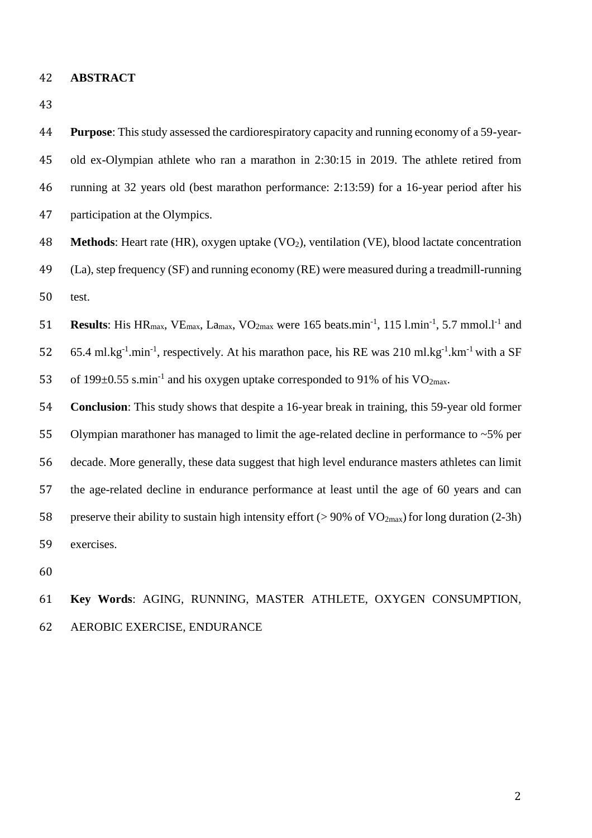#### **ABSTRACT**

 **Purpose**: This study assessed the cardiorespiratory capacity and running economy of a 59-year- old ex-Olympian athlete who ran a marathon in 2:30:15 in 2019. The athlete retired from running at 32 years old (best marathon performance: 2:13:59) for a 16-year period after his participation at the Olympics.

48 **Methods**: Heart rate (HR), oxygen uptake (VO<sub>2</sub>), ventilation (VE), blood lactate concentration

 (La), step frequency (SF) and running economy (RE) were measured during a treadmill-running test.

51 **Results**: His HR<sub>max</sub>, VE<sub>max</sub>, La<sub>max</sub>, VO<sub>2max</sub> were 165 beats.min<sup>-1</sup>, 115 l.min<sup>-1</sup>, 5.7 mmol.l<sup>-1</sup> and 52 65.4 ml.kg<sup>-1</sup>.min<sup>-1</sup>, respectively. At his marathon pace, his RE was 210 ml.kg<sup>-1</sup>.km<sup>-1</sup> with a SF 53 of 199 $\pm$ 0.55 s.min<sup>-1</sup> and his oxygen uptake corresponded to 91% of his VO<sub>2max</sub>.

 **Conclusion**: This study shows that despite a 16-year break in training, this 59-year old former Olympian marathoner has managed to limit the age-related decline in performance to ~5% per decade. More generally, these data suggest that high level endurance masters athletes can limit the age-related decline in endurance performance at least until the age of 60 years and can 58 preserve their ability to sustain high intensity effort ( $> 90\%$  of VO<sub>2max</sub>) for long duration (2-3h) exercises.

# **Key Words**: AGING, RUNNING, MASTER ATHLETE, OXYGEN CONSUMPTION, AEROBIC EXERCISE, ENDURANCE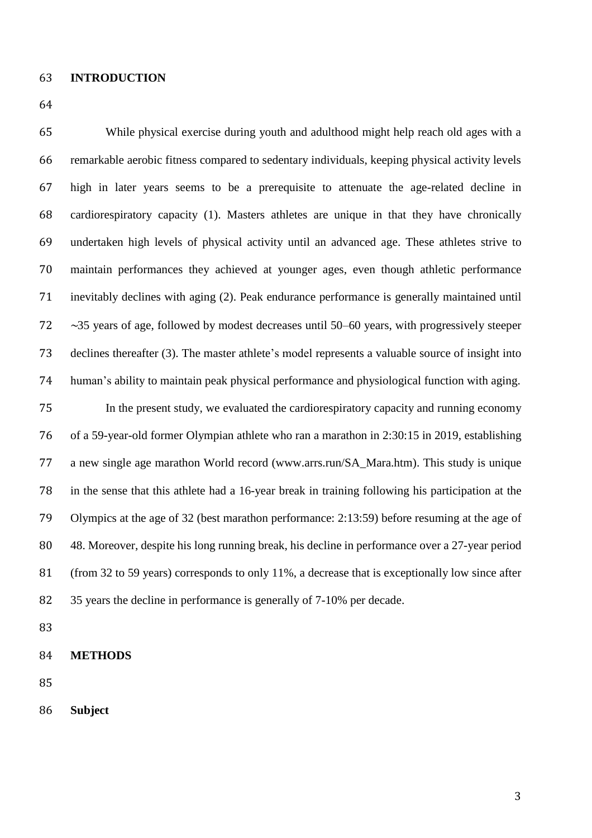#### **INTRODUCTION**

 While physical exercise during youth and adulthood might help reach old ages with a remarkable aerobic fitness compared to sedentary individuals, keeping physical activity levels high in later years seems to be a prerequisite to attenuate the age-related decline in cardiorespiratory capacity (1). Masters athletes are unique in that they have chronically undertaken high levels of physical activity until an advanced age. These athletes strive to maintain performances they achieved at younger ages, even though athletic performance inevitably declines with aging (2). Peak endurance performance is generally maintained until ∼35 years of age, followed by modest decreases until 50–60 years, with progressively steeper declines thereafter (3). The master athlete's model represents a valuable source of insight into human's ability to maintain peak physical performance and physiological function with aging. In the present study, we evaluated the cardiorespiratory capacity and running economy of a 59-year-old former Olympian athlete who ran a marathon in 2:30:15 in 2019, establishing a new single age marathon World record (www.arrs.run/SA\_Mara.htm). This study is unique in the sense that this athlete had a 16-year break in training following his participation at the Olympics at the age of 32 (best marathon performance: 2:13:59) before resuming at the age of 48. Moreover, despite his long running break, his decline in performance over a 27-year period (from 32 to 59 years) corresponds to only 11%, a decrease that is exceptionally low since after 35 years the decline in performance is generally of 7-10% per decade.

- 
- **METHODS**

**Subject**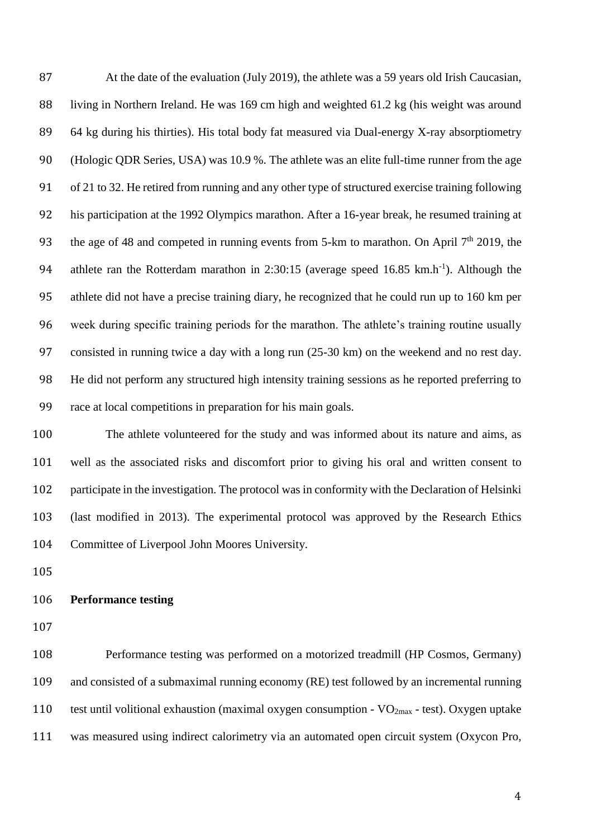At the date of the evaluation (July 2019), the athlete was a 59 years old Irish Caucasian, living in Northern Ireland. He was 169 cm high and weighted 61.2 kg (his weight was around 64 kg during his thirties). His total body fat measured via Dual-energy X-ray absorptiometry (Hologic QDR Series, USA) was 10.9 %. The athlete was an elite full-time runner from the age of 21 to 32. He retired from running and any other type of structured exercise training following his participation at the 1992 Olympics marathon. After a 16-year break, he resumed training at 93 the age of 48 and competed in running events from 5-km to marathon. On April  $7<sup>th</sup>$  2019, the 94 athlete ran the Rotterdam marathon in 2:30:15 (average speed  $16.85 \text{ km.h}^{-1}$ ). Although the athlete did not have a precise training diary, he recognized that he could run up to 160 km per week during specific training periods for the marathon. The athlete's training routine usually consisted in running twice a day with a long run (25-30 km) on the weekend and no rest day. He did not perform any structured high intensity training sessions as he reported preferring to race at local competitions in preparation for his main goals.

 The athlete volunteered for the study and was informed about its nature and aims, as well as the associated risks and discomfort prior to giving his oral and written consent to participate in the investigation. The protocol was in conformity with the Declaration of Helsinki (last modified in 2013). The experimental protocol was approved by the Research Ethics Committee of Liverpool John Moores University.

#### **Performance testing**

 Performance testing was performed on a motorized treadmill (HP Cosmos, Germany) and consisted of a submaximal running economy (RE) test followed by an incremental running 110 test until volitional exhaustion (maximal oxygen consumption -  $VO_{2max}$  - test). Oxygen uptake was measured using indirect calorimetry via an automated open circuit system (Oxycon Pro,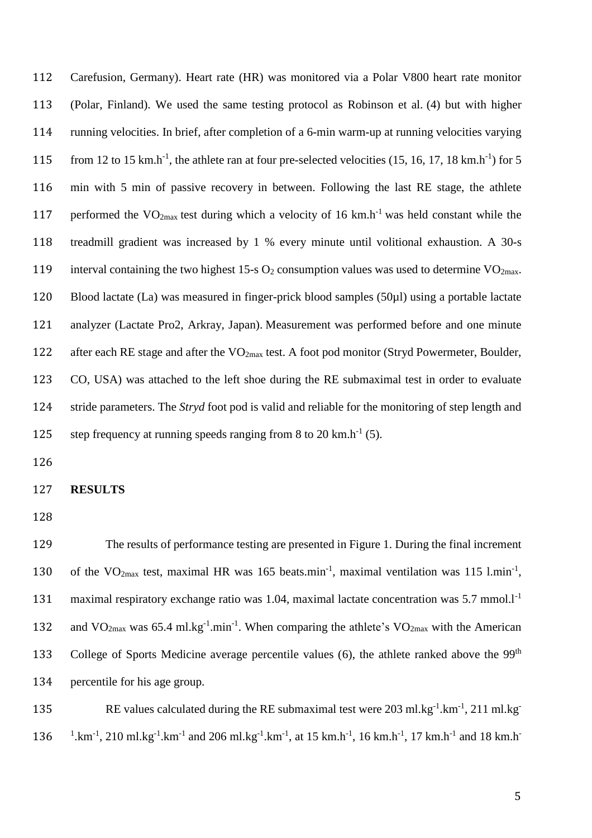Carefusion, Germany). Heart rate (HR) was monitored via a Polar V800 heart rate monitor (Polar, Finland). We used the same testing protocol as Robinson et al. (4) but with higher running velocities. In brief, after completion of a 6-min warm-up at running velocities varying 115 from 12 to 15 km.h<sup>-1</sup>, the athlete ran at four pre-selected velocities (15, 16, 17, 18 km.h<sup>-1</sup>) for 5 min with 5 min of passive recovery in between. Following the last RE stage, the athlete 117 performed the  $VO_{2max}$  test during which a velocity of 16 km.h<sup>-1</sup> was held constant while the treadmill gradient was increased by 1 % every minute until volitional exhaustion. A 30-s 119 interval containing the two highest 15-s  $O_2$  consumption values was used to determine VO<sub>2max</sub>. Blood lactate (La) was measured in finger-prick blood samples (50µl) using a portable lactate analyzer (Lactate Pro2, Arkray, Japan). Measurement was performed before and one minute 122 after each RE stage and after the VO<sub>2max</sub> test. A foot pod monitor (Stryd Powermeter, Boulder, CO, USA) was attached to the left shoe during the RE submaximal test in order to evaluate stride parameters. The *Stryd* foot pod is valid and reliable for the monitoring of step length and 125 step frequency at running speeds ranging from 8 to 20 km.h<sup>-1</sup> (5).

126

#### 127 **RESULTS**

128

129 The results of performance testing are presented in Figure 1. During the final increment 130 of the  $VO_{2max}$  test, maximal HR was 165 beats.min<sup>-1</sup>, maximal ventilation was 115 l.min<sup>-1</sup>, 131 maximal respiratory exchange ratio was 1.04, maximal lactate concentration was  $5.7 \text{ mmol.}1^{-1}$ 132 and  $VO_{2max}$  was 65.4 ml.kg<sup>-1</sup>.min<sup>-1</sup>. When comparing the athlete's  $VO_{2max}$  with the American 133 College of Sports Medicine average percentile values  $(6)$ , the athlete ranked above the 99<sup>th</sup> 134 percentile for his age group.

135 RE values calculated during the RE submaximal test were  $203 \text{ ml} \cdot \text{kg}^{-1} \cdot \text{km}^{-1}$ ,  $211 \text{ ml} \cdot \text{kg}^{-1}$ 136 <sup>1</sup>.km<sup>-1</sup>, 210 ml.kg<sup>-1</sup>.km<sup>-1</sup> and 206 ml.kg<sup>-1</sup>.km<sup>-1</sup>, at 15 km.h<sup>-1</sup>, 16 km.h<sup>-1</sup>, 17 km.h<sup>-1</sup> and 18 km.h<sup>-1</sup>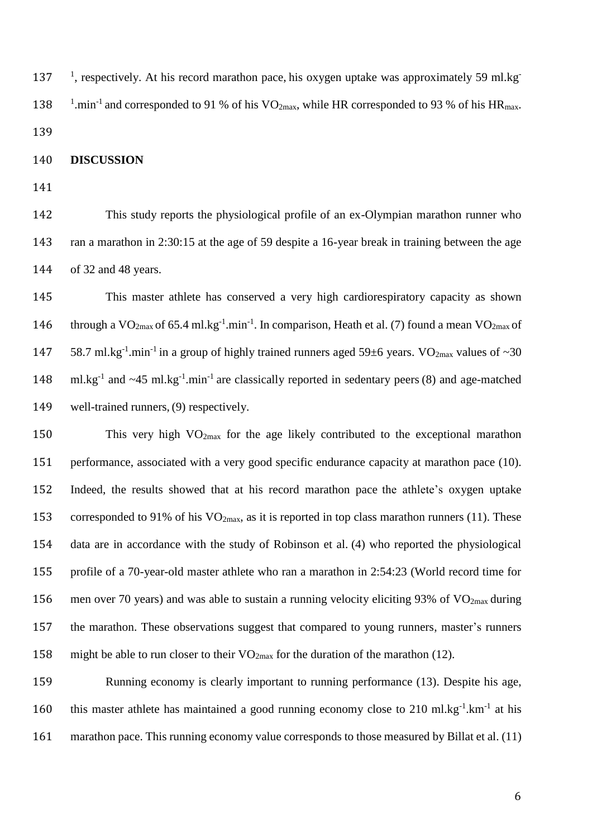137 <sup>1</sup>, respectively. At his record marathon pace, his oxygen uptake was approximately 59 ml.kg<sup>-</sup> 138 <sup>1</sup>.min<sup>-1</sup> and corresponded to 91 % of his VO<sub>2max</sub>, while HR corresponded to 93 % of his HR<sub>max</sub>. 

**DISCUSSION**

 This study reports the physiological profile of an ex-Olympian marathon runner who ran a marathon in 2:30:15 at the age of 59 despite a 16-year break in training between the age of 32 and 48 years.

 This master athlete has conserved a very high cardiorespiratory capacity as shown 146 through a VO<sub>2max</sub> of 65.4 ml.kg<sup>-1</sup>.min<sup>-1</sup>. In comparison, Heath et al. (7) found a mean VO<sub>2max</sub> of 147 58.7 ml.kg<sup>-1</sup> min<sup>-1</sup> in a group of highly trained runners aged 59 $\pm$ 6 years. VO<sub>2max</sub> values of ~30 148 ml.kg<sup>-1</sup> and  $\sim$ 45 ml.kg<sup>-1</sup>.min<sup>-1</sup> are classically reported in sedentary peers (8) and age-matched well-trained runners, (9) respectively.

 This very high VO2max for the age likely contributed to the exceptional marathon 151 performance, associated with a very good specific endurance capacity at marathon pace (10). Indeed, the results showed that at his record marathon pace the athlete's oxygen uptake 153 corresponded to 91% of his  $VO_{2max}$ , as it is reported in top class marathon runners (11). These data are in accordance with the study of Robinson et al. (4) who reported the physiological profile of a 70-year-old master athlete who ran a marathon in 2:54:23 (World record time for 156 men over 70 years) and was able to sustain a running velocity eliciting 93% of  $VO<sub>2max</sub>$  during the marathon. These observations suggest that compared to young runners, master's runners 158 might be able to run closer to their  $VO_{2max}$  for the duration of the marathon (12).

 Running economy is clearly important to running performance (13). Despite his age, 160 this master athlete has maintained a good running economy close to 210 ml.kg $^{-1}$ .km $^{-1}$  at his marathon pace. This running economy value corresponds to those measured by Billat et al. (11)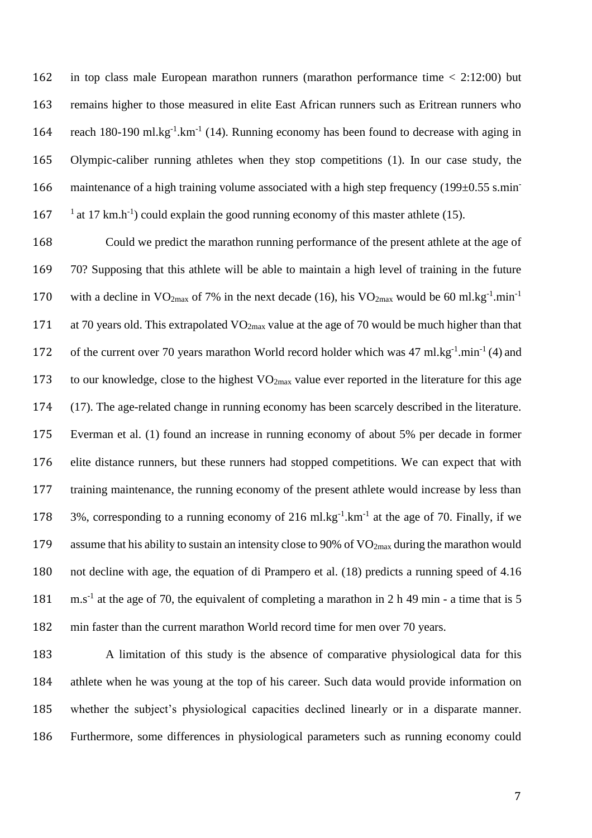in top class male European marathon runners (marathon performance time < 2:12:00) but remains higher to those measured in elite East African runners such as Eritrean runners who 164 reach 180-190 ml.kg<sup>-1</sup>.km<sup>-1</sup> (14). Running economy has been found to decrease with aging in Olympic-caliber running athletes when they stop competitions (1). In our case study, the 166 maintenance of a high training volume associated with a high step frequency (199 $\pm$ 0.55 s.min-<sup>1</sup> at 17 km.h<sup>-1</sup>) could explain the good running economy of this master athlete (15).

 Could we predict the marathon running performance of the present athlete at the age of 70? Supposing that this athlete will be able to maintain a high level of training in the future 170 with a decline in  $VO_{2max}$  of 7% in the next decade (16), his  $VO_{2max}$  would be 60 ml.kg<sup>-1</sup>.min<sup>-1</sup> 171 at 70 years old. This extrapolated  $VO_{2max}$  value at the age of 70 would be much higher than that 172 of the current over 70 years marathon World record holder which was 47 ml.kg<sup>-1</sup>.min<sup>-1</sup> (4) and 173 to our knowledge, close to the highest VO<sub>2max</sub> value ever reported in the literature for this age (17). The age-related change in running economy has been scarcely described in the literature. Everman et al. (1) found an increase in running economy of about 5% per decade in former elite distance runners, but these runners had stopped competitions. We can expect that with training maintenance, the running economy of the present athlete would increase by less than 178 3%, corresponding to a running economy of 216 ml.kg<sup>-1</sup>.km<sup>-1</sup> at the age of 70. Finally, if we 179 assume that his ability to sustain an intensity close to 90% of  $VO_{2max}$  during the marathon would not decline with age, the equation of di Prampero et al. (18) predicts a running speed of 4.16 181 m.s<sup>-1</sup> at the age of 70, the equivalent of completing a marathon in 2 h 49 min - a time that is 5 min faster than the current marathon World record time for men over 70 years.

 A limitation of this study is the absence of comparative physiological data for this athlete when he was young at the top of his career. Such data would provide information on whether the subject's physiological capacities declined linearly or in a disparate manner. Furthermore, some differences in physiological parameters such as running economy could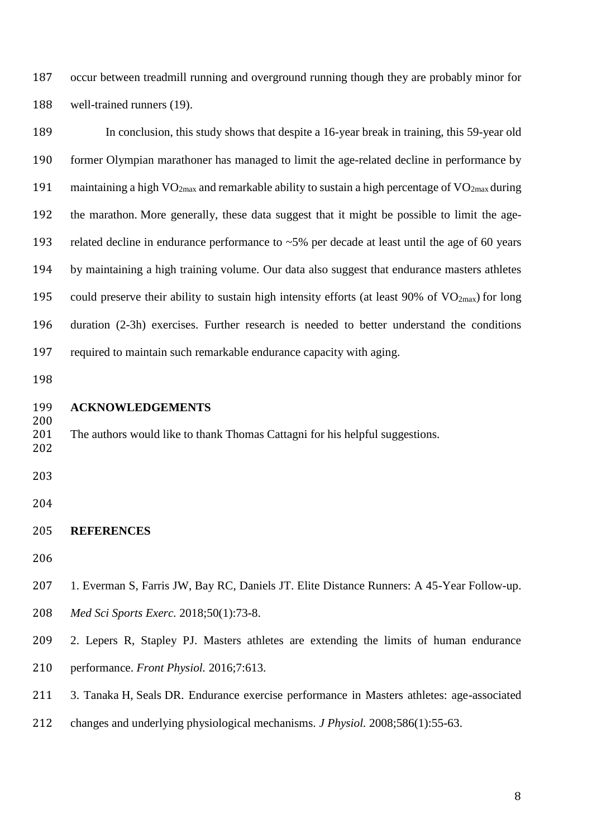occur between treadmill running and overground running though they are probably minor for well-trained runners (19).

| 189        | In conclusion, this study shows that despite a 16-year break in training, this 59-year old                             |  |  |
|------------|------------------------------------------------------------------------------------------------------------------------|--|--|
| 190        | former Olympian marathoner has managed to limit the age-related decline in performance by                              |  |  |
| 191        | maintaining a high VO <sub>2max</sub> and remarkable ability to sustain a high percentage of VO <sub>2max</sub> during |  |  |
| 192        | the marathon. More generally, these data suggest that it might be possible to limit the age-                           |  |  |
| 193        | related decline in endurance performance to $~5\%$ per decade at least until the age of 60 years                       |  |  |
| 194        | by maintaining a high training volume. Our data also suggest that endurance masters athletes                           |  |  |
| 195        | could preserve their ability to sustain high intensity efforts (at least 90% of $VO2max$ ) for long                    |  |  |
| 196        | duration (2-3h) exercises. Further research is needed to better understand the conditions                              |  |  |
| 197        | required to maintain such remarkable endurance capacity with aging.                                                    |  |  |
| 198        |                                                                                                                        |  |  |
| 199<br>200 | <b>ACKNOWLEDGEMENTS</b>                                                                                                |  |  |
| 201<br>202 | The authors would like to thank Thomas Cattagni for his helpful suggestions.                                           |  |  |
| 203        |                                                                                                                        |  |  |
| 204        |                                                                                                                        |  |  |
| 205        | <b>REFERENCES</b>                                                                                                      |  |  |
| 206        |                                                                                                                        |  |  |
| 207        | 1. Everman S, Farris JW, Bay RC, Daniels JT. Elite Distance Runners: A 45-Year Follow-up.                              |  |  |
| 208        | Med Sci Sports Exerc. 2018;50(1):73-8.                                                                                 |  |  |
| 209        | 2. Lepers R, Stapley PJ. Masters athletes are extending the limits of human endurance                                  |  |  |
| 210        | performance. Front Physiol. 2016;7:613.                                                                                |  |  |
|            |                                                                                                                        |  |  |

- 3. Tanaka H, Seals DR. Endurance exercise performance in Masters athletes: age-associated
- changes and underlying physiological mechanisms. *J Physiol.* 2008;586(1):55-63.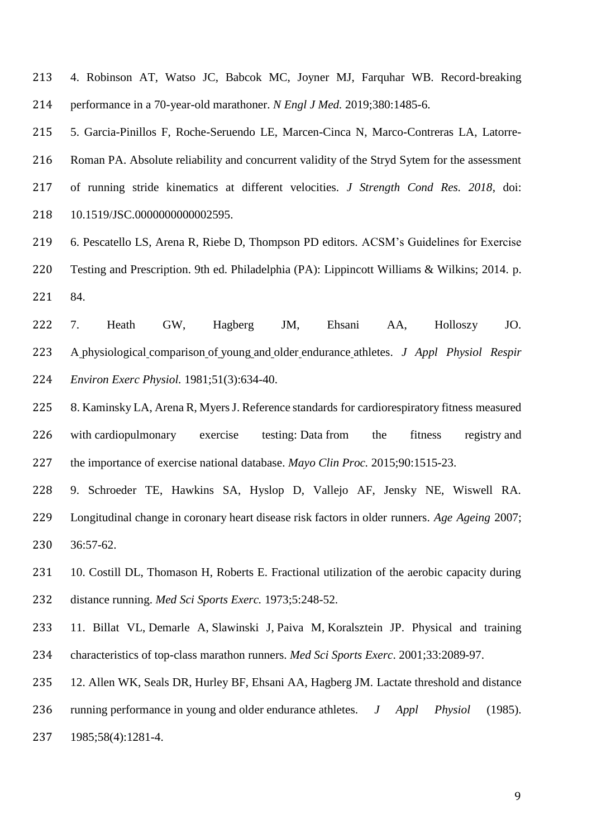4. Robinson AT, Watso JC, Babcok MC, Joyner MJ, Farquhar WB. Record-breaking performance in a 70-year-old marathoner. *N Engl J Med.* 2019;380:1485-6.

 5. Garcia-Pinillos F, Roche-Seruendo LE, Marcen-Cinca N, Marco-Contreras LA, Latorre- Roman PA. Absolute reliability and concurrent validity of the Stryd Sytem for the assessment of running stride kinematics at different velocities. *J Strength Cond Res. 2018*, doi: 10.1519/JSC.0000000000002595.

 6. Pescatello LS, Arena R, Riebe D, Thompson PD editors. ACSM's Guidelines for Exercise Testing and Prescription. 9th ed. Philadelphia (PA): Lippincott Williams & Wilkins; 2014. p. 84.

 7. Heath GW, Hagberg JM, Ehsani AA, Holloszy JO. A physiological comparison of young and older endurance athletes. *J Appl Physiol Respir Environ Exerc Physiol.* 1981;51(3):634-40.

 8. Kaminsky LA, Arena R, Myers J. Reference standards for cardiorespiratory fitness measured with cardiopulmonary exercise testing: Data from the fitness registry and the importance of exercise national database. *Mayo Clin Proc.* 2015;90:1515-23.

 9. Schroeder TE, Hawkins SA, Hyslop D, Vallejo AF, Jensky NE, Wiswell RA. Longitudinal change in coronary heart disease risk factors in older runners. *Age Ageing* 2007; 36:57-62.

- 231 10. Costill DL, Thomason H, Roberts E. Fractional utilization of the aerobic capacity during distance running. *Med Sci Sports Exerc.* 1973;5:248-52.
- 11. Billat VL, [Demarle A,](https://www.ncbi.nlm.nih.gov/pubmed/?term=Demarle%20A%5BAuthor%5D&cauthor=true&cauthor_uid=11740304) [Slawinski J,](https://www.ncbi.nlm.nih.gov/pubmed/?term=Slawinski%20J%5BAuthor%5D&cauthor=true&cauthor_uid=11740304) [Paiva M,](https://www.ncbi.nlm.nih.gov/pubmed/?term=Paiva%20M%5BAuthor%5D&cauthor=true&cauthor_uid=11740304) Koralsztein JP. Physical and training characteristics of top-class marathon runners. *[Med Sci Sports Exerc](https://www.ncbi.nlm.nih.gov/pubmed/11740304)*. 2001;33:2089-97.
- 12. Allen WK, Seals DR, Hurley BF, Ehsani AA, Hagberg JM. Lactate threshold and distance running performance in young and older endurance athletes. *J Appl Physiol* (1985).
- 1985;58(4):1281-4.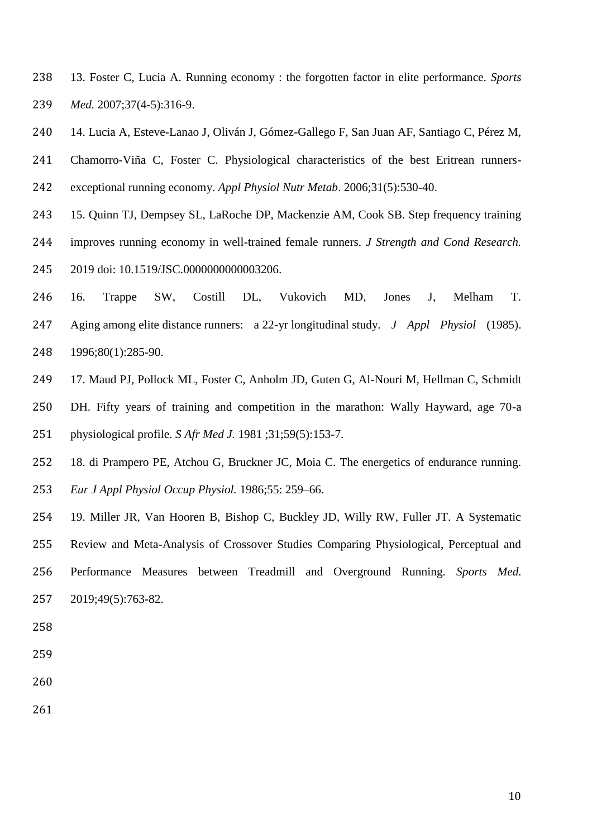- 13. Foster C, Lucia A. Running economy : the forgotten factor in elite performance. *Sports Med.* 2007;37(4-5):316-9.
- 14. Lucia A, Esteve-Lanao J, Oliván J, Gómez-Gallego F, San Juan AF, Santiago C, Pérez M, Chamorro-Viña C, Foster C. Physiological characteristics of the best Eritrean runners-exceptional running economy. *Appl Physiol Nutr Metab*. 2006;31(5):530-40.
- 15. Quinn TJ, Dempsey SL, LaRoche DP, Mackenzie AM, Cook SB. Step frequency training improves running economy in well-trained female runners. *J Strength and Cond Research.*
- 2019 doi: 10.1519/JSC.0000000000003206.
- 16. Trappe SW, Costill DL, Vukovich MD, Jones J, Melham T. Aging among elite distance runners: a 22-yr longitudinal study. *J Appl Physiol* (1985). 1996;80(1):285-90.
- 17. Maud PJ, Pollock ML, Foster C, Anholm JD, Guten G, Al-Nouri M, Hellman C, Schmidt
- DH. Fifty years of training and competition in the marathon: Wally Hayward, age 70-a physiological profile. *S Afr Med J.* 1981 ;31;59(5):153-7.
- 18. di Prampero PE, Atchou G, Bruckner JC, Moia C. The energetics of endurance running. *Eur J Appl Physiol Occup Physiol.* 1986;55: 259–66.
- 19. Miller JR, Van Hooren B, Bishop C, Buckley JD, Willy RW, Fuller JT. A Systematic Review and Meta-Analysis of Crossover Studies Comparing Physiological, Perceptual and Performance Measures between Treadmill and Overground Running. *Sports Med.* 2019;49(5):763-82.
- 
- 
- 
-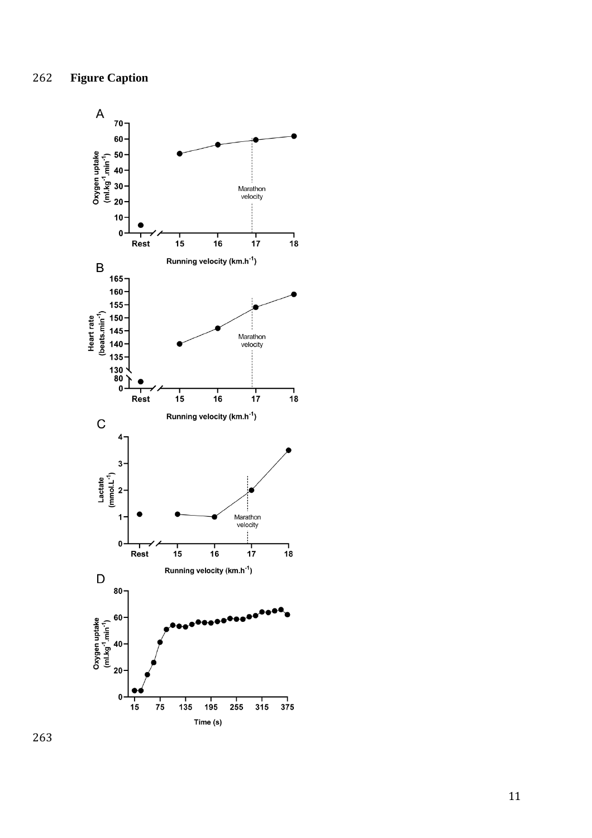